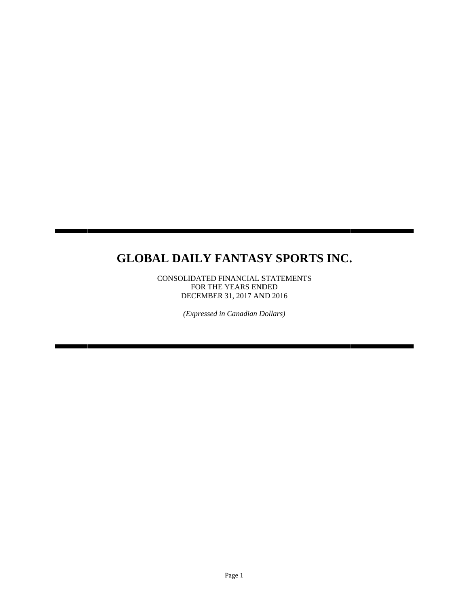# **GLOBAL DAILY FANTASY SPORTS INC.**

CONSOLIDATED FINANCIAL STATEMENTS FOR THE YEARS ENDED DECEMBER 31, 2017 AND 2016

*(Expressed in Canadian D Dollars)*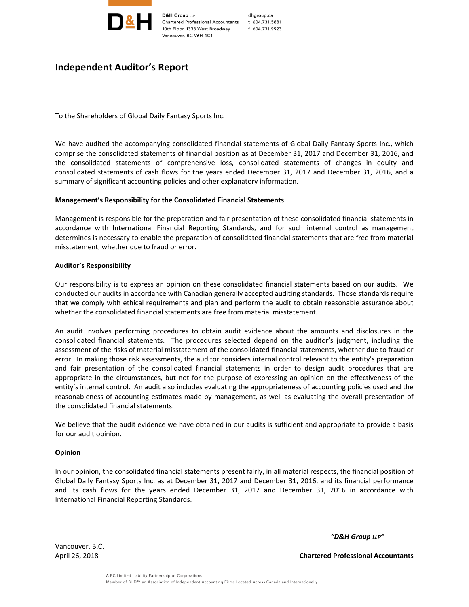

dhgroup.ca f 604.731.9923

## **Independent Auditor's Report**

To the Shareholders of Global Daily Fantasy Sports Inc.

We have audited the accompanying consolidated financial statements of Global Daily Fantasy Sports Inc., which comprise the consolidated statements of financial position as at December 31, 2017 and December 31, 2016, and the consolidated statements of comprehensive loss, consolidated statements of changes in equity and consolidated statements of cash flows for the years ended December 31, 2017 and December 31, 2016, and a summary of significant accounting policies and other explanatory information.

### **Management's Responsibility for the Consolidated Financial Statements**

Management is responsible for the preparation and fair presentation of these consolidated financial statements in accordance with International Financial Reporting Standards, and for such internal control as management determines is necessary to enable the preparation of consolidated financial statements that are free from material misstatement, whether due to fraud or error.

#### **Auditor's Responsibility**

Our responsibility is to express an opinion on these consolidated financial statements based on our audits. We conducted our audits in accordance with Canadian generally accepted auditing standards. Those standards require that we comply with ethical requirements and plan and perform the audit to obtain reasonable assurance about whether the consolidated financial statements are free from material misstatement.

An audit involves performing procedures to obtain audit evidence about the amounts and disclosures in the consolidated financial statements. The procedures selected depend on the auditor's judgment, including the assessment of the risks of material misstatement of the consolidated financial statements, whether due to fraud or error. In making those risk assessments, the auditor considers internal control relevant to the entity's preparation and fair presentation of the consolidated financial statements in order to design audit procedures that are appropriate in the circumstances, but not for the purpose of expressing an opinion on the effectiveness of the entity's internal control. An audit also includes evaluating the appropriateness of accounting policies used and the reasonableness of accounting estimates made by management, as well as evaluating the overall presentation of the consolidated financial statements.

We believe that the audit evidence we have obtained in our audits is sufficient and appropriate to provide a basis for our audit opinion.

#### **Opinion**

In our opinion, the consolidated financial statements present fairly, in all material respects, the financial position of Global Daily Fantasy Sports Inc. as at December 31, 2017 and December 31, 2016, and its financial performance and its cash flows for the years ended December 31, 2017 and December 31, 2016 in accordance with International Financial Reporting Standards.

 *"D&H Group LLP"*

Vancouver, B.C.

April 26, 2018 **Chartered Professional Accountants**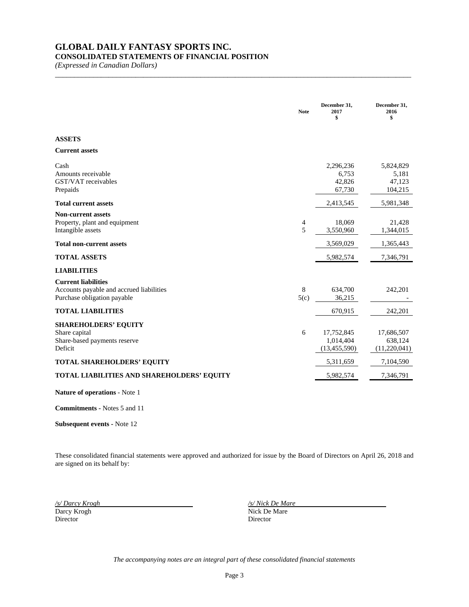## **GLOBAL DAILY FANTASY SPORTS INC. CONSOLIDATED STATEMENTS OF FINANCIAL POSITION**

*(Expressed in Canadian Dollars)*

|                                                                                                       | <b>Note</b> | December 31,<br>2017<br>\$                | December 31,<br>2016<br>\$              |
|-------------------------------------------------------------------------------------------------------|-------------|-------------------------------------------|-----------------------------------------|
| <b>ASSETS</b>                                                                                         |             |                                           |                                         |
| <b>Current assets</b>                                                                                 |             |                                           |                                         |
| Cash<br>Amounts receivable<br>GST/VAT receivables<br>Prepaids                                         |             | 2,296,236<br>6,753<br>42,826<br>67,730    | 5,824,829<br>5,181<br>47,123<br>104,215 |
| <b>Total current assets</b>                                                                           |             | 2,413,545                                 | 5,981,348                               |
| <b>Non-current assets</b><br>Property, plant and equipment<br>Intangible assets                       | 4<br>5      | 18,069<br>3,550,960                       | 21,428<br>1,344,015                     |
| <b>Total non-current assets</b>                                                                       |             | 3,569,029                                 | 1,365,443                               |
| <b>TOTAL ASSETS</b>                                                                                   |             | 5,982,574                                 | 7,346,791                               |
| <b>LIABILITIES</b>                                                                                    |             |                                           |                                         |
| <b>Current liabilities</b><br>Accounts payable and accrued liabilities<br>Purchase obligation payable | 8<br>5(c)   | 634,700<br>36,215                         | 242,201                                 |
| <b>TOTAL LIABILITIES</b>                                                                              |             | 670,915                                   | 242,201                                 |
| <b>SHAREHOLDERS' EQUITY</b><br>Share capital<br>Share-based payments reserve<br>Deficit               | 6           | 17,752,845<br>1,014,404<br>(13, 455, 590) | 17,686,507<br>638,124<br>(11,220,041)   |
| TOTAL SHAREHOLDERS' EQUITY                                                                            |             | 5,311,659                                 | 7,104,590                               |
| TOTAL LIABILITIES AND SHAREHOLDERS' EQUITY                                                            |             | 5,982,574                                 | 7,346,791                               |

\_\_\_\_\_\_\_\_\_\_\_\_\_\_\_\_\_\_\_\_\_\_\_\_\_\_\_\_\_\_\_\_\_\_\_\_\_\_\_\_\_\_\_\_\_\_\_\_\_\_\_\_\_\_\_\_\_\_\_\_\_\_\_\_\_\_\_\_\_\_\_\_\_\_\_\_\_\_\_\_\_\_\_\_\_\_\_\_\_\_\_\_\_

**Nature of operations** - Note 1

**Commitments -** Notes 5 and 11

**Subsequent events -** Note 12

These consolidated financial statements were approved and authorized for issue by the Board of Directors on April 26, 2018 and are signed on its behalf by:

*/s/ Darcy Krogh**/s/ Nick De Mare* <u>/s/ Darcy Krogh /s/ Darcy Krogh /s/ Nick De Mare</u><br>Darcy Krogh /s/ Nick De Mare<br>Director Director *Director* 

Director

*The accompanying notes are an integral part of these consolidated financial statements*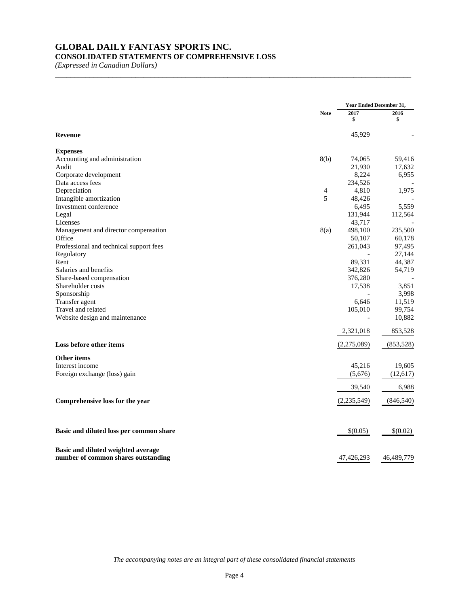## **GLOBAL DAILY FANTASY SPORTS INC. CONSOLIDATED STATEMENTS OF COMPREHENSIVE LOSS**

*(Expressed in Canadian Dollars)*

|                                         |             |               | <b>Year Ended December 31,</b> |  |
|-----------------------------------------|-------------|---------------|--------------------------------|--|
|                                         | <b>Note</b> | 2017<br>\$    | 2016                           |  |
|                                         |             |               | \$                             |  |
| <b>Revenue</b>                          |             | 45,929        |                                |  |
| <b>Expenses</b>                         |             |               |                                |  |
| Accounting and administration           | 8(b)        | 74,065        | 59,416                         |  |
| Audit                                   |             | 21,930        | 17,632                         |  |
| Corporate development                   |             | 8,224         | 6,955                          |  |
| Data access fees                        |             | 234,526       |                                |  |
| Depreciation                            | 4           | 4,810         | 1,975                          |  |
| Intangible amortization                 | 5           | 48,426        |                                |  |
| Investment conference                   |             | 6,495         | 5,559                          |  |
| Legal                                   |             | 131,944       | 112,564                        |  |
| Licenses                                |             | 43,717        |                                |  |
| Management and director compensation    | 8(a)        | 498,100       | 235,500                        |  |
| Office                                  |             | 50,107        | 60,178                         |  |
| Professional and technical support fees |             | 261,043       | 97,495                         |  |
| Regulatory                              |             |               | 27,144                         |  |
| Rent                                    |             | 89,331        | 44,387                         |  |
| Salaries and benefits                   |             | 342,826       | 54,719                         |  |
| Share-based compensation                |             | 376,280       |                                |  |
| Shareholder costs                       |             | 17,538        | 3,851                          |  |
| Sponsorship                             |             |               | 3,998                          |  |
| Transfer agent                          |             | 6,646         | 11,519                         |  |
| Travel and related                      |             | 105,010       | 99,754                         |  |
| Website design and maintenance          |             |               | 10,882                         |  |
|                                         |             | 2,321,018     | 853,528                        |  |
| Loss before other items                 |             | (2,275,089)   | (853, 528)                     |  |
| Other items                             |             |               |                                |  |
| Interest income                         |             | 45,216        | 19,605                         |  |
| Foreign exchange (loss) gain            |             | (5,676)       | (12, 617)                      |  |
|                                         |             | 39,540        | 6,988                          |  |
| Comprehensive loss for the year         |             | (2, 235, 549) | (846, 540)                     |  |
| Basic and diluted loss per common share |             | \$(0.05)      | \$(0.02)                       |  |
| Basic and diluted weighted average      |             |               |                                |  |
| number of common shares outstanding     |             | 47,426,293    | 46,489,779                     |  |

\_\_\_\_\_\_\_\_\_\_\_\_\_\_\_\_\_\_\_\_\_\_\_\_\_\_\_\_\_\_\_\_\_\_\_\_\_\_\_\_\_\_\_\_\_\_\_\_\_\_\_\_\_\_\_\_\_\_\_\_\_\_\_\_\_\_\_\_\_\_\_\_\_\_\_\_\_\_\_\_\_\_\_\_\_\_\_\_\_\_\_\_\_

*The accompanying notes are an integral part of these consolidated financial statements*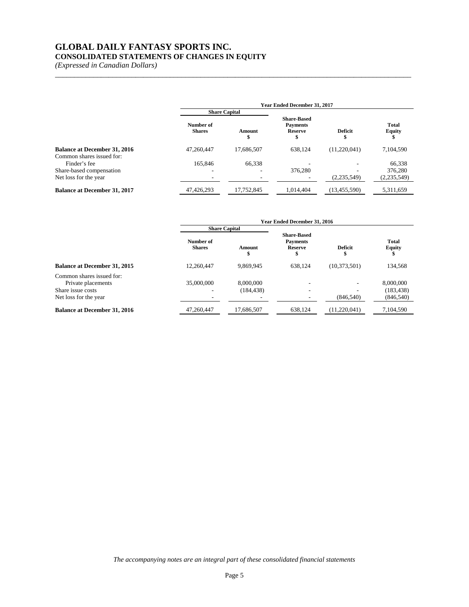## **GLOBAL DAILY FANTASY SPORTS INC. CONSOLIDATED STATEMENTS OF CHANGES IN EQUITY**

*(Expressed in Canadian Dollars)*

|                                                                  | <b>Year Ended December 31, 2017</b> |                      |                                                               |                      |                               |
|------------------------------------------------------------------|-------------------------------------|----------------------|---------------------------------------------------------------|----------------------|-------------------------------|
|                                                                  |                                     | <b>Share Capital</b> |                                                               |                      |                               |
|                                                                  | Number of<br><b>Shares</b>          | Amount<br>\$         | <b>Share-Based</b><br><b>Payments</b><br><b>Reserve</b><br>\$ | <b>Deficit</b><br>\$ | <b>Total</b><br><b>Equity</b> |
| <b>Balance at December 31, 2016</b><br>Common shares issued for: | 47,260,447                          | 17.686.507           | 638.124                                                       | (11,220,041)         | 7,104,590                     |
| Finder's fee                                                     | 165.846                             | 66.338               |                                                               |                      | 66,338                        |
| Share-based compensation                                         |                                     |                      | 376,280                                                       |                      | 376,280                       |
| Net loss for the year                                            |                                     |                      |                                                               | (2, 235, 549)        | (2,235,549)                   |
| <b>Balance at December 31, 2017</b>                              | 47,426,293                          | 17,752,845           | 1.014.404                                                     | (13, 455, 590)       | 5,311,659                     |

\_\_\_\_\_\_\_\_\_\_\_\_\_\_\_\_\_\_\_\_\_\_\_\_\_\_\_\_\_\_\_\_\_\_\_\_\_\_\_\_\_\_\_\_\_\_\_\_\_\_\_\_\_\_\_\_\_\_\_\_\_\_\_\_\_\_\_\_\_\_\_\_\_\_\_\_\_\_\_\_\_\_\_\_\_\_\_\_\_\_\_\_\_

|                                                                                                | <b>Year Ended December 31, 2016</b> |                         |                                                              |                      |                                       |
|------------------------------------------------------------------------------------------------|-------------------------------------|-------------------------|--------------------------------------------------------------|----------------------|---------------------------------------|
|                                                                                                |                                     | <b>Share Capital</b>    |                                                              |                      |                                       |
|                                                                                                | Number of<br><b>Shares</b>          | Amount<br>ъ             | <b>Share-Based</b><br><b>Payments</b><br><b>Reserve</b><br>Φ | <b>Deficit</b><br>\$ | <b>Total</b><br><b>Equity</b><br>\$   |
| <b>Balance at December 31, 2015</b>                                                            | 12,260,447                          | 9.869.945               | 638.124                                                      | (10, 373, 501)       | 134,568                               |
| Common shares issued for:<br>Private placements<br>Share issue costs<br>Net loss for the year. | 35,000,000                          | 8,000,000<br>(184, 438) | ۰                                                            | (846, 540)           | 8,000,000<br>(183, 438)<br>(846, 540) |
| <b>Balance at December 31, 2016</b>                                                            | 47.260,447                          | 17,686,507              | 638,124                                                      | (11,220,041)         | 7.104.590                             |

*The accompanying notes are an integral part of these consolidated financial statements*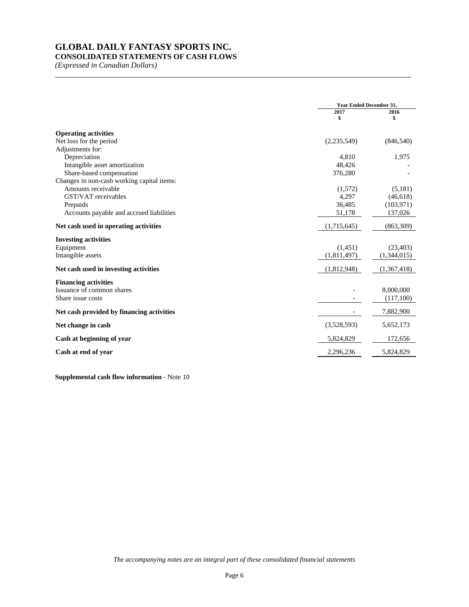# **GLOBAL DAILY FANTASY SPORTS INC.**

## **CONSOLIDATED STATEMENTS OF CASH FLOWS**

*(Expressed in Canadian Dollars)* \_\_\_\_\_\_\_\_\_\_\_\_\_\_\_\_\_\_\_\_\_\_\_\_\_\_\_\_\_\_\_\_\_\_\_\_\_\_\_\_\_\_\_\_\_\_\_\_\_\_\_\_\_\_\_\_\_\_\_\_\_\_\_\_\_\_\_\_\_\_\_\_\_\_\_\_\_\_\_\_\_\_\_\_\_\_\_\_\_\_\_\_\_

|                                            | <b>Year Ended December 31,</b> |             |
|--------------------------------------------|--------------------------------|-------------|
|                                            | 2017<br>\$                     | 2016<br>\$  |
|                                            |                                |             |
| <b>Operating activities</b>                |                                |             |
| Net loss for the period                    | (2,235,549)                    | (846, 540)  |
| Adjustments for:                           |                                |             |
| Depreciation                               | 4,810                          | 1,975       |
| Intangible asset amortization              | 48,426                         |             |
| Share-based compensation                   | 376,280                        |             |
| Changes in non-cash working capital items: |                                |             |
| Amounts receivable                         | (1,572)                        | (5,181)     |
| GST/VAT receivables                        | 4,297                          | (46, 618)   |
| Prepaids                                   | 36,485                         | (103, 971)  |
| Accounts payable and accrued liabilities   | 51,178                         | 137,026     |
| Net cash used in operating activities      | (1,715,645)                    | (863,309)   |
| <b>Investing activities</b>                |                                |             |
| Equipment                                  | (1,451)                        | (23, 403)   |
| Intangible assets                          | (1,811,497)                    | (1,344,015) |
| Net cash used in investing activities      | (1,812,948)                    | (1,367,418) |
| <b>Financing activities</b>                |                                |             |
| Issuance of common shares                  |                                | 8,000,000   |
| Share issue costs                          |                                | (117,100)   |
|                                            |                                |             |
| Net cash provided by financing activities  |                                | 7,882,900   |
| Net change in cash                         | (3,528,593)                    | 5,652,173   |
| Cash at beginning of year                  | 5,824,829                      | 172,656     |
| Cash at end of year                        | 2,296,236                      | 5,824,829   |

**Supplemental cash flow information** - Note 10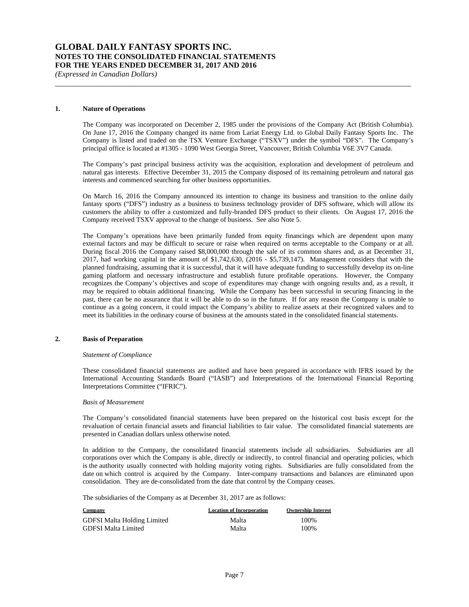#### **1. Nature of Operations**

The Company was incorporated on December 2, 1985 under the provisions of the Company Act (British Columbia). On June 17, 2016 the Company changed its name from Lariat Energy Ltd. to Global Daily Fantasy Sports Inc. The Company is listed and traded on the TSX Venture Exchange ("TSXV") under the symbol "DFS". The Company's principal office is located at #1305 - 1090 West Georgia Street, Vancouver, British Columbia V6E 3V7 Canada.

 $\overline{a}$  , and the contribution of the contribution of the contribution of the contribution of the contribution of  $\overline{a}$ 

The Company's past principal business activity was the acquisition, exploration and development of petroleum and natural gas interests. Effective December 31, 2015 the Company disposed of its remaining petroleum and natural gas interests and commenced searching for other business opportunities.

On March 16, 2016 the Company announced its intention to change its business and transition to the online daily fantasy sports ("DFS") industry as a business to business technology provider of DFS software, which will allow its customers the ability to offer a customized and fully-branded DFS product to their clients. On August 17, 2016 the Company received TSXV approval to the change of business. See also Note 5.

The Company's operations have been primarily funded from equity financings which are dependent upon many external factors and may be difficult to secure or raise when required on terms acceptable to the Company or at all. During fiscal 2016 the Company raised \$8,000,000 through the sale of its common shares and, as at December 31, 2017, had working capital in the amount of \$1,742,630, (2016 - \$5,739,147). Management considers that with the planned fundraising, assuming that it is successful, that it will have adequate funding to successfully develop its on-line gaming platform and necessary infrastructure and establish future profitable operations. However, the Company recognizes the Company's objectives and scope of expenditures may change with ongoing results and, as a result, it may be required to obtain additional financing. While the Company has been successful in securing financing in the past, there can be no assurance that it will be able to do so in the future. If for any reason the Company is unable to continue as a going concern, it could impact the Company's ability to realize assets at their recognized values and to meet its liabilities in the ordinary course of business at the amounts stated in the consolidated financial statements.

#### **2. Basis of Preparation**

#### *Statement of Compliance*

 These consolidated financial statements are audited and have been prepared in accordance with IFRS issued by the International Accounting Standards Board ("IASB") and Interpretations of the International Financial Reporting Interpretations Committee ("IFRIC").

#### *Basis of Measurement*

The Company's consolidated financial statements have been prepared on the historical cost basis except for the revaluation of certain financial assets and financial liabilities to fair value. The consolidated financial statements are presented in Canadian dollars unless otherwise noted.

In addition to the Company, the consolidated financial statements include all subsidiaries. Subsidiaries are all corporations over which the Company is able, directly or indirectly, to control financial and operating policies, which is the authority usually connected with holding majority voting rights. Subsidiaries are fully consolidated from the date on which control is acquired by the Company. Inter-company transactions and balances are eliminated upon consolidation. They are de-consolidated from the date that control by the Company ceases.

The subsidiaries of the Company as at December 31, 2017 are as follows:

| Company                            | <b>Location of Incorporation</b> | <b>Ownership Interest</b> |
|------------------------------------|----------------------------------|---------------------------|
| <b>GDFSI Malta Holding Limited</b> | Malta                            | 100\%                     |
| <b>GDFSI Malta Limited</b>         | Malta                            | 100%                      |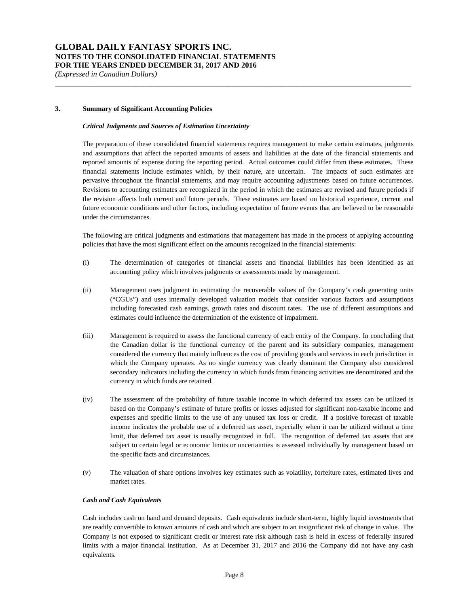#### **3. Summary of Significant Accounting Policies**

#### *Critical Judgments and Sources of Estimation Uncertainty*

The preparation of these consolidated financial statements requires management to make certain estimates, judgments and assumptions that affect the reported amounts of assets and liabilities at the date of the financial statements and reported amounts of expense during the reporting period. Actual outcomes could differ from these estimates. These financial statements include estimates which, by their nature, are uncertain. The impacts of such estimates are pervasive throughout the financial statements, and may require accounting adjustments based on future occurrences. Revisions to accounting estimates are recognized in the period in which the estimates are revised and future periods if the revision affects both current and future periods. These estimates are based on historical experience, current and future economic conditions and other factors, including expectation of future events that are believed to be reasonable under the circumstances.

 $\overline{a}$  , and the contribution of the contribution of the contribution of the contribution of the contribution of  $\overline{a}$ 

The following are critical judgments and estimations that management has made in the process of applying accounting policies that have the most significant effect on the amounts recognized in the financial statements:

- (i) The determination of categories of financial assets and financial liabilities has been identified as an accounting policy which involves judgments or assessments made by management.
- (ii) Management uses judgment in estimating the recoverable values of the Company's cash generating units ("CGUs") and uses internally developed valuation models that consider various factors and assumptions including forecasted cash earnings, growth rates and discount rates. The use of different assumptions and estimates could influence the determination of the existence of impairment.
- (iii) Management is required to assess the functional currency of each entity of the Company. In concluding that the Canadian dollar is the functional currency of the parent and its subsidiary companies, management considered the currency that mainly influences the cost of providing goods and services in each jurisdiction in which the Company operates. As no single currency was clearly dominant the Company also considered secondary indicators including the currency in which funds from financing activities are denominated and the currency in which funds are retained.
- (iv) The assessment of the probability of future taxable income in which deferred tax assets can be utilized is based on the Company's estimate of future profits or losses adjusted for significant non-taxable income and expenses and specific limits to the use of any unused tax loss or credit. If a positive forecast of taxable income indicates the probable use of a deferred tax asset, especially when it can be utilized without a time limit, that deferred tax asset is usually recognized in full. The recognition of deferred tax assets that are subject to certain legal or economic limits or uncertainties is assessed individually by management based on the specific facts and circumstances.
- (v) The valuation of share options involves key estimates such as volatility, forfeiture rates, estimated lives and market rates.

#### *Cash and Cash Equivalents*

Cash includes cash on hand and demand deposits. Cash equivalents include short-term, highly liquid investments that are readily convertible to known amounts of cash and which are subject to an insignificant risk of change in value. The Company is not exposed to significant credit or interest rate risk although cash is held in excess of federally insured limits with a major financial institution. As at December 31, 2017 and 2016 the Company did not have any cash equivalents.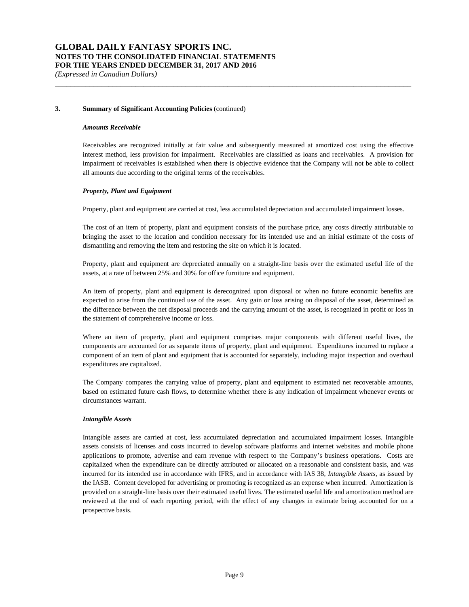#### **3. Summary of Significant Accounting Policies** (continued)

#### *Amounts Receivable*

Receivables are recognized initially at fair value and subsequently measured at amortized cost using the effective interest method, less provision for impairment. Receivables are classified as loans and receivables. A provision for impairment of receivables is established when there is objective evidence that the Company will not be able to collect all amounts due according to the original terms of the receivables.

 $\overline{a}$  , and the contribution of the contribution of the contribution of the contribution of the contribution of  $\overline{a}$ 

#### *Property, Plant and Equipment*

Property, plant and equipment are carried at cost, less accumulated depreciation and accumulated impairment losses.

 The cost of an item of property, plant and equipment consists of the purchase price, any costs directly attributable to bringing the asset to the location and condition necessary for its intended use and an initial estimate of the costs of dismantling and removing the item and restoring the site on which it is located.

Property, plant and equipment are depreciated annually on a straight-line basis over the estimated useful life of the assets, at a rate of between 25% and 30% for office furniture and equipment.

An item of property, plant and equipment is derecognized upon disposal or when no future economic benefits are expected to arise from the continued use of the asset. Any gain or loss arising on disposal of the asset, determined as the difference between the net disposal proceeds and the carrying amount of the asset, is recognized in profit or loss in the statement of comprehensive income or loss.

Where an item of property, plant and equipment comprises major components with different useful lives, the components are accounted for as separate items of property, plant and equipment. Expenditures incurred to replace a component of an item of plant and equipment that is accounted for separately, including major inspection and overhaul expenditures are capitalized.

The Company compares the carrying value of property, plant and equipment to estimated net recoverable amounts, based on estimated future cash flows, to determine whether there is any indication of impairment whenever events or circumstances warrant.

#### *Intangible Assets*

Intangible assets are carried at cost, less accumulated depreciation and accumulated impairment losses. Intangible assets consists of licenses and costs incurred to develop software platforms and internet websites and mobile phone applications to promote, advertise and earn revenue with respect to the Company's business operations. Costs are capitalized when the expenditure can be directly attributed or allocated on a reasonable and consistent basis, and was incurred for its intended use in accordance with IFRS, and in accordance with IAS 38, *Intangible Assets*, as issued by the IASB. Content developed for advertising or promoting is recognized as an expense when incurred. Amortization is provided on a straight-line basis over their estimated useful lives. The estimated useful life and amortization method are reviewed at the end of each reporting period, with the effect of any changes in estimate being accounted for on a prospective basis.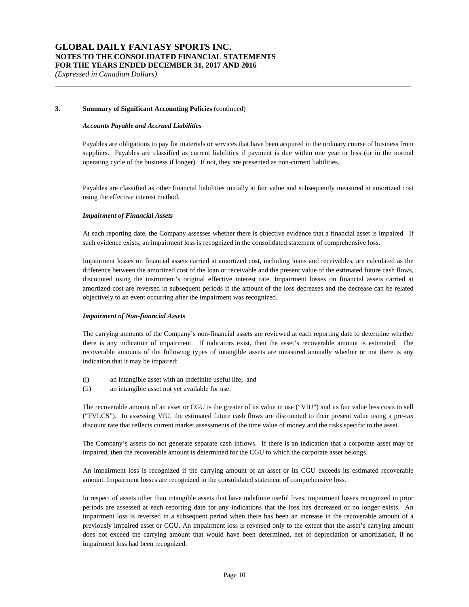#### **3. Summary of Significant Accounting Policies** (continued)

#### *Accounts Payable and Accrued Liabilities*

Payables are obligations to pay for materials or services that have been acquired in the ordinary course of business from suppliers. Payables are classified as current liabilities if payment is due within one year or less (or in the normal operating cycle of the business if longer). If not, they are presented as non-current liabilities.

 $\overline{a}$  , and the contribution of the contribution of the contribution of the contribution of the contribution of  $\overline{a}$ 

Payables are classified as other financial liabilities initially at fair value and subsequently measured at amortized cost using the effective interest method.

#### *Impairment of Financial Assets*

At each reporting date, the Company assesses whether there is objective evidence that a financial asset is impaired. If such evidence exists, an impairment loss is recognized in the consolidated statement of comprehensive loss.

Impairment losses on financial assets carried at amortized cost, including loans and receivables, are calculated as the difference between the amortized cost of the loan or receivable and the present value of the estimated future cash flows, discounted using the instrument's original effective interest rate. Impairment losses on financial assets carried at amortized cost are reversed in subsequent periods if the amount of the loss decreases and the decrease can be related objectively to an event occurring after the impairment was recognized.

#### *Impairment of Non-financial Assets*

The carrying amounts of the Company's non-financial assets are reviewed at each reporting date to determine whether there is any indication of impairment. If indicators exist, then the asset's recoverable amount is estimated. The recoverable amounts of the following types of intangible assets are measured annually whether or not there is any indication that it may be impaired:

- (i) an intangible asset with an indefinite useful life; and
- (ii) an intangible asset not yet available for use.

The recoverable amount of an asset or CGU is the greater of its value in use ("VIU") and its fair value less costs to sell ("FVLCS"). In assessing VIU, the estimated future cash flows are discounted to their present value using a pre-tax discount rate that reflects current market assessments of the time value of money and the risks specific to the asset.

The Company's assets do not generate separate cash inflows. If there is an indication that a corporate asset may be impaired, then the recoverable amount is determined for the CGU to which the corporate asset belongs.

An impairment loss is recognized if the carrying amount of an asset or its CGU exceeds its estimated recoverable amount. Impairment losses are recognized in the consolidated statement of comprehensive loss.

In respect of assets other than intangible assets that have indefinite useful lives, impairment losses recognized in prior periods are assessed at each reporting date for any indications that the loss has decreased or no longer exists. An impairment loss is reversed in a subsequent period when there has been an increase in the recoverable amount of a previously impaired asset or CGU. An impairment loss is reversed only to the extent that the asset's carrying amount does not exceed the carrying amount that would have been determined, net of depreciation or amortization, if no impairment loss had been recognized.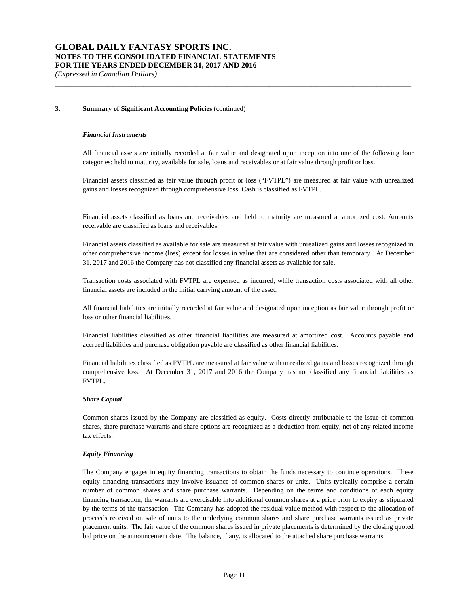#### **3. Summary of Significant Accounting Policies** (continued)

#### *Financial Instruments*

All financial assets are initially recorded at fair value and designated upon inception into one of the following four categories: held to maturity, available for sale, loans and receivables or at fair value through profit or loss.

 $\overline{a}$  , and the contribution of the contribution of the contribution of the contribution of the contribution of  $\overline{a}$ 

Financial assets classified as fair value through profit or loss ("FVTPL") are measured at fair value with unrealized gains and losses recognized through comprehensive loss. Cash is classified as FVTPL.

Financial assets classified as loans and receivables and held to maturity are measured at amortized cost. Amounts receivable are classified as loans and receivables.

Financial assets classified as available for sale are measured at fair value with unrealized gains and losses recognized in other comprehensive income (loss) except for losses in value that are considered other than temporary. At December 31, 2017 and 2016 the Company has not classified any financial assets as available for sale.

Transaction costs associated with FVTPL are expensed as incurred, while transaction costs associated with all other financial assets are included in the initial carrying amount of the asset.

All financial liabilities are initially recorded at fair value and designated upon inception as fair value through profit or loss or other financial liabilities.

Financial liabilities classified as other financial liabilities are measured at amortized cost. Accounts payable and accrued liabilities and purchase obligation payable are classified as other financial liabilities.

Financial liabilities classified as FVTPL are measured at fair value with unrealized gains and losses recognized through comprehensive loss. At December 31, 2017 and 2016 the Company has not classified any financial liabilities as FVTPL.

#### *Share Capital*

Common shares issued by the Company are classified as equity. Costs directly attributable to the issue of common shares, share purchase warrants and share options are recognized as a deduction from equity, net of any related income tax effects.

#### *Equity Financing*

The Company engages in equity financing transactions to obtain the funds necessary to continue operations. These equity financing transactions may involve issuance of common shares or units. Units typically comprise a certain number of common shares and share purchase warrants. Depending on the terms and conditions of each equity financing transaction, the warrants are exercisable into additional common shares at a price prior to expiry as stipulated by the terms of the transaction. The Company has adopted the residual value method with respect to the allocation of proceeds received on sale of units to the underlying common shares and share purchase warrants issued as private placement units. The fair value of the common shares issued in private placements is determined by the closing quoted bid price on the announcement date. The balance, if any, is allocated to the attached share purchase warrants.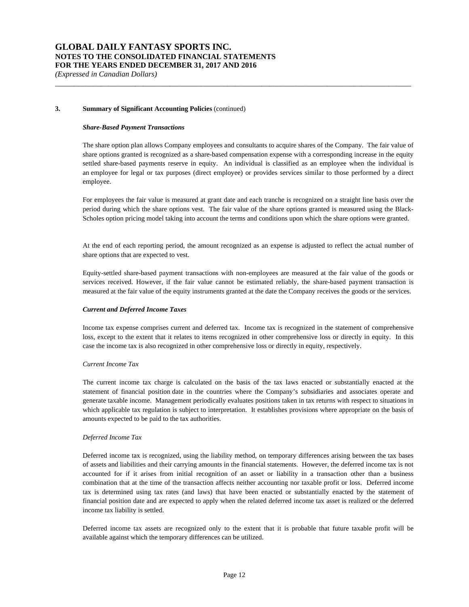#### **3. Summary of Significant Accounting Policies** (continued)

#### *Share-Based Payment Transactions*

The share option plan allows Company employees and consultants to acquire shares of the Company. The fair value of share options granted is recognized as a share-based compensation expense with a corresponding increase in the equity settled share-based payments reserve in equity. An individual is classified as an employee when the individual is an employee for legal or tax purposes (direct employee) or provides services similar to those performed by a direct employee.

 $\overline{a}$  , and the contribution of the contribution of the contribution of the contribution of the contribution of  $\overline{a}$ 

For employees the fair value is measured at grant date and each tranche is recognized on a straight line basis over the period during which the share options vest. The fair value of the share options granted is measured using the Black-Scholes option pricing model taking into account the terms and conditions upon which the share options were granted.

At the end of each reporting period, the amount recognized as an expense is adjusted to reflect the actual number of share options that are expected to vest.

Equity-settled share-based payment transactions with non-employees are measured at the fair value of the goods or services received. However, if the fair value cannot be estimated reliably, the share-based payment transaction is measured at the fair value of the equity instruments granted at the date the Company receives the goods or the services.

#### *Current and Deferred Income Taxes*

Income tax expense comprises current and deferred tax. Income tax is recognized in the statement of comprehensive loss, except to the extent that it relates to items recognized in other comprehensive loss or directly in equity. In this case the income tax is also recognized in other comprehensive loss or directly in equity, respectively.

#### *Current Income Tax*

The current income tax charge is calculated on the basis of the tax laws enacted or substantially enacted at the statement of financial position date in the countries where the Company's subsidiaries and associates operate and generate taxable income. Management periodically evaluates positions taken in tax returns with respect to situations in which applicable tax regulation is subject to interpretation. It establishes provisions where appropriate on the basis of amounts expected to be paid to the tax authorities.

#### *Deferred Income Tax*

Deferred income tax is recognized, using the liability method, on temporary differences arising between the tax bases of assets and liabilities and their carrying amounts in the financial statements. However, the deferred income tax is not accounted for if it arises from initial recognition of an asset or liability in a transaction other than a business combination that at the time of the transaction affects neither accounting nor taxable profit or loss. Deferred income tax is determined using tax rates (and laws) that have been enacted or substantially enacted by the statement of financial position date and are expected to apply when the related deferred income tax asset is realized or the deferred income tax liability is settled.

Deferred income tax assets are recognized only to the extent that it is probable that future taxable profit will be available against which the temporary differences can be utilized.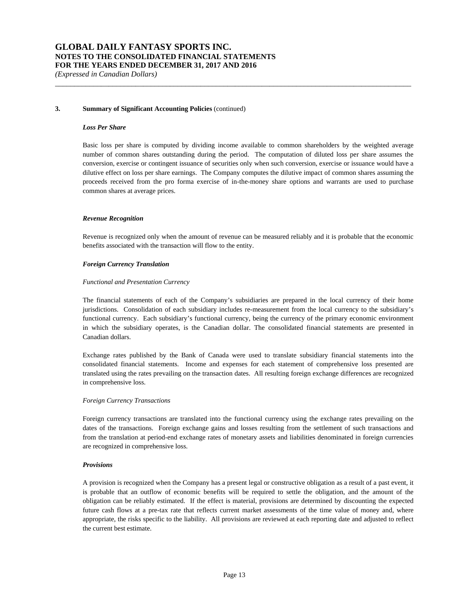#### **3. Summary of Significant Accounting Policies** (continued)

#### *Loss Per Share*

Basic loss per share is computed by dividing income available to common shareholders by the weighted average number of common shares outstanding during the period. The computation of diluted loss per share assumes the conversion, exercise or contingent issuance of securities only when such conversion, exercise or issuance would have a dilutive effect on loss per share earnings. The Company computes the dilutive impact of common shares assuming the proceeds received from the pro forma exercise of in-the-money share options and warrants are used to purchase common shares at average prices.

 $\overline{a}$  , and the contribution of the contribution of the contribution of the contribution of the contribution of  $\overline{a}$ 

#### *Revenue Recognition*

Revenue is recognized only when the amount of revenue can be measured reliably and it is probable that the economic benefits associated with the transaction will flow to the entity.

#### *Foreign Currency Translation*

#### *Functional and Presentation Currency*

The financial statements of each of the Company's subsidiaries are prepared in the local currency of their home jurisdictions. Consolidation of each subsidiary includes re-measurement from the local currency to the subsidiary's functional currency. Each subsidiary's functional currency, being the currency of the primary economic environment in which the subsidiary operates, is the Canadian dollar. The consolidated financial statements are presented in Canadian dollars.

Exchange rates published by the Bank of Canada were used to translate subsidiary financial statements into the consolidated financial statements. Income and expenses for each statement of comprehensive loss presented are translated using the rates prevailing on the transaction dates. All resulting foreign exchange differences are recognized in comprehensive loss.

#### *Foreign Currency Transactions*

Foreign currency transactions are translated into the functional currency using the exchange rates prevailing on the dates of the transactions. Foreign exchange gains and losses resulting from the settlement of such transactions and from the translation at period-end exchange rates of monetary assets and liabilities denominated in foreign currencies are recognized in comprehensive loss.

#### *Provisions*

A provision is recognized when the Company has a present legal or constructive obligation as a result of a past event, it is probable that an outflow of economic benefits will be required to settle the obligation, and the amount of the obligation can be reliably estimated. If the effect is material, provisions are determined by discounting the expected future cash flows at a pre-tax rate that reflects current market assessments of the time value of money and, where appropriate, the risks specific to the liability. All provisions are reviewed at each reporting date and adjusted to reflect the current best estimate.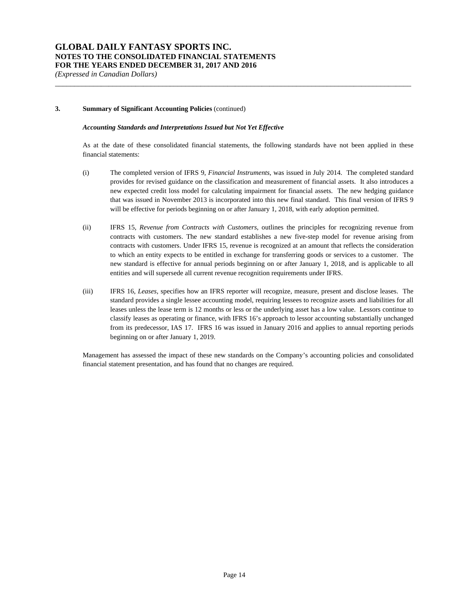#### **3. Summary of Significant Accounting Policies** (continued)

#### *Accounting Standards and Interpretations Issued but Not Yet Effective*

As at the date of these consolidated financial statements, the following standards have not been applied in these financial statements:

 $\overline{a}$  , and the contribution of the contribution of the contribution of the contribution of the contribution of  $\overline{a}$ 

- (i) The completed version of IFRS 9, *Financial Instruments*, was issued in July 2014. The completed standard provides for revised guidance on the classification and measurement of financial assets. It also introduces a new expected credit loss model for calculating impairment for financial assets. The new hedging guidance that was issued in November 2013 is incorporated into this new final standard. This final version of IFRS 9 will be effective for periods beginning on or after January 1, 2018, with early adoption permitted.
- (ii) IFRS 15, *Revenue from Contracts with Customers*, outlines the principles for recognizing revenue from contracts with customers. The new standard establishes a new five-step model for revenue arising from contracts with customers. Under IFRS 15, revenue is recognized at an amount that reflects the consideration to which an entity expects to be entitled in exchange for transferring goods or services to a customer. The new standard is effective for annual periods beginning on or after January 1, 2018, and is applicable to all entities and will supersede all current revenue recognition requirements under IFRS.
- (iii) IFRS 16, *Leases*, specifies how an IFRS reporter will recognize, measure, present and disclose leases. The standard provides a single lessee accounting model, requiring lessees to recognize assets and liabilities for all leases unless the lease term is 12 months or less or the underlying asset has a low value. Lessors continue to classify leases as operating or finance, with IFRS 16's approach to lessor accounting substantially unchanged from its predecessor, IAS 17. IFRS 16 was issued in January 2016 and applies to annual reporting periods beginning on or after January 1, 2019.

Management has assessed the impact of these new standards on the Company's accounting policies and consolidated financial statement presentation, and has found that no changes are required.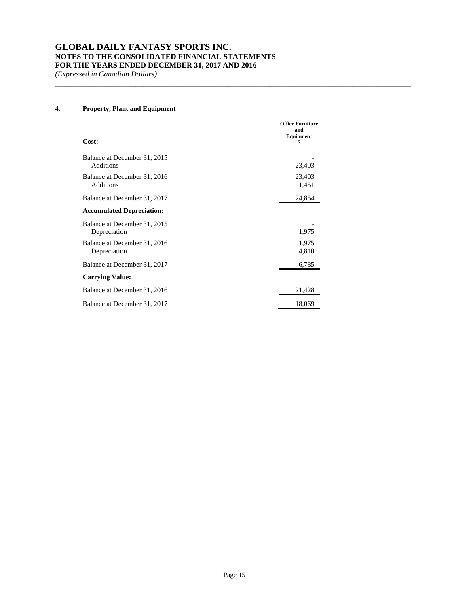### **4. Property, Plant and Equipment**

| Cost:                                        | <b>Office Furniture</b><br>and<br>Equipment<br>\$ |
|----------------------------------------------|---------------------------------------------------|
| Balance at December 31, 2015<br>Additions    | 23,403                                            |
| Balance at December 31, 2016<br>Additions    | 23,403<br>1,451                                   |
| Balance at December 31, 2017                 | 24,854                                            |
| <b>Accumulated Depreciation:</b>             |                                                   |
| Balance at December 31, 2015<br>Depreciation | 1,975                                             |
| Balance at December 31, 2016<br>Depreciation | 1,975<br>4,810                                    |
| Balance at December 31, 2017                 | 6,785                                             |
| <b>Carrying Value:</b>                       |                                                   |
| Balance at December 31, 2016                 | 21,428                                            |
| Balance at December 31, 2017                 | 18,069                                            |

\_\_\_\_\_\_\_\_\_\_\_\_\_\_\_\_\_\_\_\_\_\_\_\_\_\_\_\_\_\_\_\_\_\_\_\_\_\_\_\_\_\_\_\_\_\_\_\_\_\_\_\_\_\_\_\_\_\_\_\_\_\_\_\_\_\_\_\_\_\_\_\_\_\_\_\_\_\_\_\_\_\_\_\_\_\_\_\_\_\_\_\_\_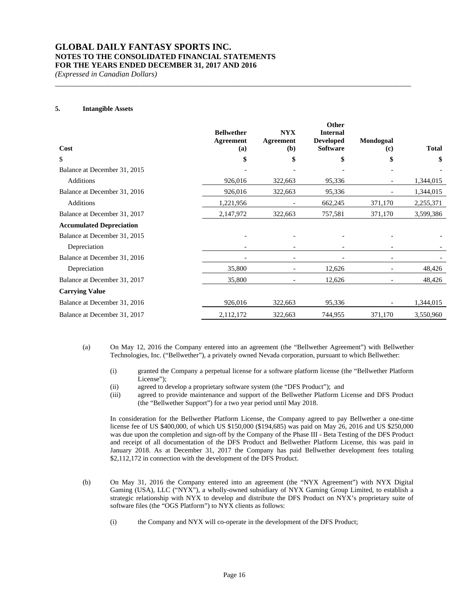## **GLOBAL DAILY FANTASY SPORTS INC. NOTES TO THE CONSOLIDATED FINANCIAL STATEMENTS FOR THE YEARS ENDED DECEMBER 31, 2017 AND 2016**

*(Expressed in Canadian Dollars)*

#### **5. Intangible Assets**

|                                 | <b>Bellwether</b>        | <b>NYX</b> | Other<br><b>Internal</b> |                   |              |
|---------------------------------|--------------------------|------------|--------------------------|-------------------|--------------|
|                                 | Agreement                | Agreement  | <b>Developed</b>         | Mondogoal         |              |
| Cost                            | (a)                      | (b)        | <b>Software</b>          | (c)               | <b>Total</b> |
| \$                              | \$                       | \$         | \$                       | \$                | \$           |
| Balance at December 31, 2015    |                          |            |                          |                   |              |
| Additions                       | 926,016                  | 322,663    | 95,336                   |                   | 1,344,015    |
| Balance at December 31, 2016    | 926,016                  | 322,663    | 95,336                   | $\qquad \qquad -$ | 1,344,015    |
| <b>Additions</b>                | 1,221,956                |            | 662,245                  | 371,170           | 2,255,371    |
| Balance at December 31, 2017    | 2,147,972                | 322,663    | 757,581                  | 371,170           | 3,599,386    |
| <b>Accumulated Depreciation</b> |                          |            |                          |                   |              |
| Balance at December 31, 2015    |                          |            |                          |                   |              |
| Depreciation                    |                          |            |                          |                   |              |
| Balance at December 31, 2016    | $\overline{\phantom{0}}$ |            |                          |                   |              |
| Depreciation                    | 35,800                   |            | 12,626                   |                   | 48,426       |
| Balance at December 31, 2017    | 35,800                   |            | 12,626                   |                   | 48,426       |
| <b>Carrying Value</b>           |                          |            |                          |                   |              |
| Balance at December 31, 2016    | 926,016                  | 322,663    | 95,336                   |                   | 1,344,015    |
| Balance at December 31, 2017    | 2,112,172                | 322,663    | 744,955                  | 371,170           | 3,550,960    |

 $\overline{a}$  , and the contribution of the contribution of the contribution of the contribution of the contribution of  $\overline{a}$ 

- (a) On May 12, 2016 the Company entered into an agreement (the "Bellwether Agreement") with Bellwether Technologies, Inc. ("Bellwether"), a privately owned Nevada corporation, pursuant to which Bellwether:
	- (i) granted the Company a perpetual license for a software platform license (the "Bellwether Platform License");
	- (ii) agreed to develop a proprietary software system (the "DFS Product"); and
	- (iii) agreed to provide maintenance and support of the Bellwether Platform License and DFS Product (the "Bellwether Support") for a two year period until May 2018.

 In consideration for the Bellwether Platform License, the Company agreed to pay Bellwether a one-time license fee of US \$400,000, of which US \$150,000 (\$194,685) was paid on May 26, 2016 and US \$250,000 was due upon the completion and sign-off by the Company of the Phase III - Beta Testing of the DFS Product and receipt of all documentation of the DFS Product and Bellwether Platform License, this was paid in January 2018. As at December 31, 2017 the Company has paid Bellwether development fees totaling \$2,112,172 in connection with the development of the DFS Product.

- (b) On May 31, 2016 the Company entered into an agreement (the "NYX Agreement") with NYX Digital Gaming (USA), LLC ("NYX"), a wholly-owned subsidiary of NYX Gaming Group Limited, to establish a strategic relationship with NYX to develop and distribute the DFS Product on NYX's proprietary suite of software files (the "OGS Platform") to NYX clients as follows:
	- (i) the Company and NYX will co-operate in the development of the DFS Product;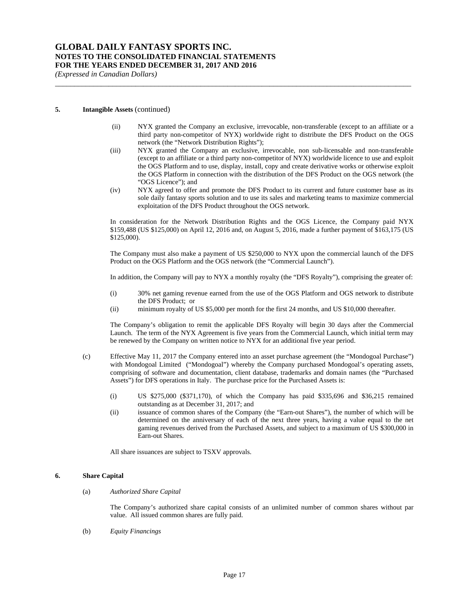#### **5. Intangible Assets** (continued)

 (ii) NYX granted the Company an exclusive, irrevocable, non-transferable (except to an affiliate or a third party non-competitor of NYX) worldwide right to distribute the DFS Product on the OGS network (the "Network Distribution Rights");

 $\overline{a}$  , and the contribution of the contribution of the contribution of the contribution of the contribution of  $\overline{a}$ 

- (iii) NYX granted the Company an exclusive, irrevocable, non sub-licensable and non-transferable (except to an affiliate or a third party non-competitor of NYX) worldwide licence to use and exploit the OGS Platform and to use, display, install, copy and create derivative works or otherwise exploit the OGS Platform in connection with the distribution of the DFS Product on the OGS network (the "OGS Licence"); and
- (iv) NYX agreed to offer and promote the DFS Product to its current and future customer base as its sole daily fantasy sports solution and to use its sales and marketing teams to maximize commercial exploitation of the DFS Product throughout the OGS network.

In consideration for the Network Distribution Rights and the OGS Licence, the Company paid NYX \$159,488 (US \$125,000) on April 12, 2016 and, on August 5, 2016, made a further payment of \$163,175 (US \$125,000).

The Company must also make a payment of US \$250,000 to NYX upon the commercial launch of the DFS Product on the OGS Platform and the OGS network (the "Commercial Launch").

In addition, the Company will pay to NYX a monthly royalty (the "DFS Royalty"), comprising the greater of:

- (i) 30% net gaming revenue earned from the use of the OGS Platform and OGS network to distribute the DFS Product; or
- (ii) minimum royalty of US \$5,000 per month for the first 24 months, and US \$10,000 thereafter.

The Company's obligation to remit the applicable DFS Royalty will begin 30 days after the Commercial Launch. The term of the NYX Agreement is five years from the Commercial Launch, which initial term may be renewed by the Company on written notice to NYX for an additional five year period.

- (c) Effective May 11, 2017 the Company entered into an asset purchase agreement (the "Mondogoal Purchase") with Mondogoal Limited ("Mondogoal") whereby the Company purchased Mondogoal's operating assets, comprising of software and documentation, client database, trademarks and domain names (the "Purchased Assets") for DFS operations in Italy. The purchase price for the Purchased Assets is:
	- (i) US \$275,000 (\$371,170), of which the Company has paid \$335,696 and \$36,215 remained outstanding as at December 31, 2017; and
	- (ii) issuance of common shares of the Company (the "Earn-out Shares"), the number of which will be determined on the anniversary of each of the next three years, having a value equal to the net gaming revenues derived from the Purchased Assets, and subject to a maximum of US \$300,000 in Earn-out Shares.

All share issuances are subject to TSXV approvals.

#### **6. Share Capital**

(a) *Authorized Share Capital* 

The Company's authorized share capital consists of an unlimited number of common shares without par value. All issued common shares are fully paid.

(b) *Equity Financings*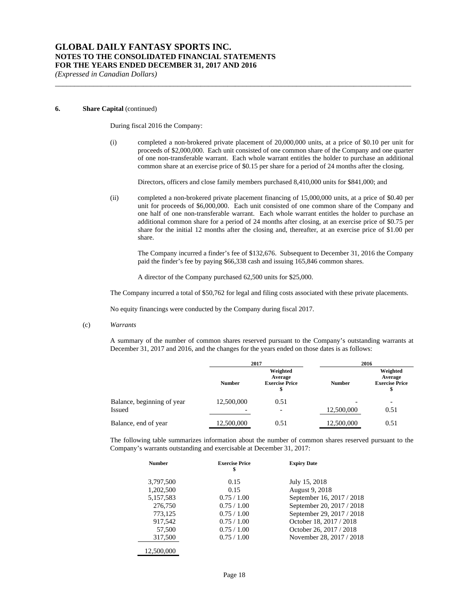#### **6.** Share Capital (continued)

During fiscal 2016 the Company:

 (i) completed a non-brokered private placement of 20,000,000 units, at a price of \$0.10 per unit for proceeds of \$2,000,000. Each unit consisted of one common share of the Company and one quarter of one non-transferable warrant. Each whole warrant entitles the holder to purchase an additional common share at an exercise price of \$0.15 per share for a period of 24 months after the closing.

 $\overline{a}$  , and the contribution of the contribution of the contribution of the contribution of the contribution of  $\overline{a}$ 

Directors, officers and close family members purchased 8,410,000 units for \$841,000; and

 (ii) completed a non-brokered private placement financing of 15,000,000 units, at a price of \$0.40 per unit for proceeds of \$6,000,000. Each unit consisted of one common share of the Company and one half of one non-transferable warrant. Each whole warrant entitles the holder to purchase an additional common share for a period of 24 months after closing, at an exercise price of \$0.75 per share for the initial 12 months after the closing and, thereafter, at an exercise price of \$1.00 per share.

 The Company incurred a finder's fee of \$132,676. Subsequent to December 31, 2016 the Company paid the finder's fee by paying \$66,338 cash and issuing 165,846 common shares.

A director of the Company purchased 62,500 units for \$25,000.

The Company incurred a total of \$50,762 for legal and filing costs associated with these private placements.

No equity financings were conducted by the Company during fiscal 2017.

(c) *Warrants*

 A summary of the number of common shares reserved pursuant to the Company's outstanding warrants at December 31, 2017 and 2016, and the changes for the years ended on those dates is as follows:

|                                             |               | 2017                                               |               | 2016                                               |
|---------------------------------------------|---------------|----------------------------------------------------|---------------|----------------------------------------------------|
|                                             | <b>Number</b> | Weighted<br>Average<br><b>Exercise Price</b><br>\$ | <b>Number</b> | Weighted<br>Average<br><b>Exercise Price</b><br>\$ |
| Balance, beginning of year<br><b>Issued</b> | 12,500,000    | 0.51                                               | 12,500,000    | $\overline{\phantom{0}}$<br>0.51                   |
| Balance, end of year                        | 12,500,000    | 0.51                                               | 12,500,000    | 0.51                                               |

The following table summarizes information about the number of common shares reserved pursuant to the Company's warrants outstanding and exercisable at December 31, 2017:

| <b>Number</b> | <b>Exercise Price</b><br>\$ | <b>Expiry Date</b>        |
|---------------|-----------------------------|---------------------------|
| 3,797,500     | 0.15                        | July 15, 2018             |
| 1,202,500     | 0.15                        | August 9, 2018            |
| 5,157,583     | 0.75/1.00                   | September 16, 2017 / 2018 |
| 276,750       | 0.75/1.00                   | September 20, 2017 / 2018 |
| 773,125       | 0.75/1.00                   | September 29, 2017 / 2018 |
| 917,542       | 0.75/1.00                   | October 18, 2017 / 2018   |
| 57,500        | 0.75/1.00                   | October 26, 2017 / 2018   |
| 317,500       | 0.75/1.00                   | November 28, 2017 / 2018  |
| 12,500,000    |                             |                           |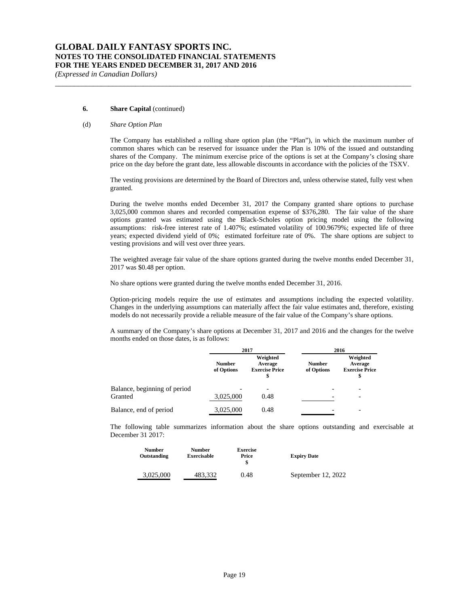#### **6.** Share Capital (continued)

#### (d) *Share Option Plan*

 The Company has established a rolling share option plan (the "Plan"), in which the maximum number of common shares which can be reserved for issuance under the Plan is 10% of the issued and outstanding shares of the Company. The minimum exercise price of the options is set at the Company's closing share price on the day before the grant date, less allowable discounts in accordance with the policies of the TSXV.

 $\overline{a}$  , and the contribution of the contribution of the contribution of the contribution of the contribution of  $\overline{a}$ 

 The vesting provisions are determined by the Board of Directors and, unless otherwise stated, fully vest when granted.

 During the twelve months ended December 31, 2017 the Company granted share options to purchase 3,025,000 common shares and recorded compensation expense of \$376,280. The fair value of the share options granted was estimated using the Black-Scholes option pricing model using the following assumptions: risk-free interest rate of 1.407%; estimated volatility of 100.9679%; expected life of three years; expected dividend yield of 0%; estimated forfeiture rate of 0%. The share options are subject to vesting provisions and will vest over three years.

 The weighted average fair value of the share options granted during the twelve months ended December 31, 2017 was \$0.48 per option.

No share options were granted during the twelve months ended December 31, 2016.

 Option-pricing models require the use of estimates and assumptions including the expected volatility. Changes in the underlying assumptions can materially affect the fair value estimates and, therefore, existing models do not necessarily provide a reliable measure of the fair value of the Company's share options.

 A summary of the Company's share options at December 31, 2017 and 2016 and the changes for the twelve months ended on those dates, is as follows:

|                              | 2017                        |                                                    |                             | 2016                                         |
|------------------------------|-----------------------------|----------------------------------------------------|-----------------------------|----------------------------------------------|
|                              | <b>Number</b><br>of Options | Weighted<br>Average<br><b>Exercise Price</b><br>\$ | <b>Number</b><br>of Options | Weighted<br>Average<br><b>Exercise Price</b> |
| Balance, beginning of period |                             |                                                    |                             |                                              |
| Granted                      | 3,025,000                   | 0.48                                               |                             |                                              |
| Balance, end of period       | 3,025,000                   | 0.48                                               |                             |                                              |

The following table summarizes information about the share options outstanding and exercisable at December 31 2017:

| <b>Number</b> | <b>Number</b>      | <b>Exercise</b> | <b>Expiry Date</b> |
|---------------|--------------------|-----------------|--------------------|
| Outstanding   | <b>Exercisable</b> | Price           |                    |
| 3,025,000     | 483.332            | 0.48            | September 12, 2022 |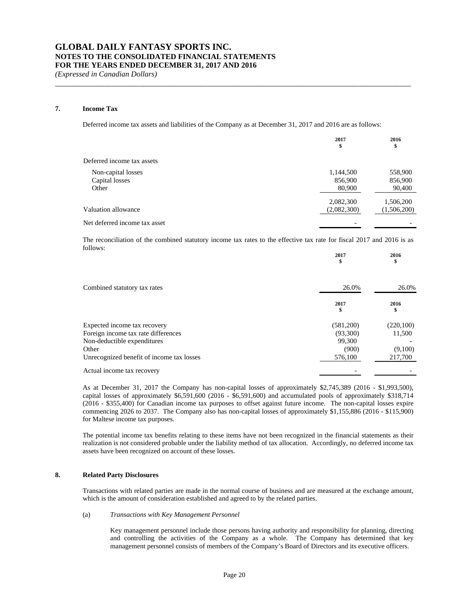#### **7. Income Tax**

Deferred income tax assets and liabilities of the Company as at December 31, 2017 and 2016 are as follows:

 $\overline{a}$  , and the contribution of the contribution of the contribution of the contribution of the contribution of  $\overline{a}$ 

|                               | 2017<br>\$  | 2016<br>\$  |
|-------------------------------|-------------|-------------|
| Deferred income tax assets    |             |             |
| Non-capital losses            | 1,144,500   | 558,900     |
| Capital losses                | 856,900     | 856,900     |
| Other                         | 80,900      | 90,400      |
|                               | 2,082,300   | 1,506,200   |
| Valuation allowance           | (2,082,300) | (1,506,200) |
| Net deferred income tax asset |             |             |

 The reconciliation of the combined statutory income tax rates to the effective tax rate for fiscal 2017 and 2016 is as follows:

|                                           | 2017<br>\$ | 2016<br>\$ |
|-------------------------------------------|------------|------------|
| Combined statutory tax rates              | 26.0%      | 26.0%      |
|                                           | 2017<br>S  | 2016<br>\$ |
| Expected income tax recovery              | (581,200)  | (220, 100) |
| Foreign income tax rate differences       | (93,300)   | 11,500     |
| Non-deductible expenditures               | 99,300     |            |
| Other                                     | (900)      | (9,100)    |
| Unrecognized benefit of income tax losses | 576,100    | 217,700    |
| Actual income tax recovery                |            |            |

 As at December 31, 2017 the Company has non-capital losses of approximately \$2,745,389 (2016 - \$1,993,500), capital losses of approximately \$6,591,600 (2016 - \$6,591,600) and accumulated pools of approximately \$318,714 (2016 - \$355,400) for Canadian income tax purposes to offset against future income. The non-capital losses expire commencing 2026 to 2037. The Company also has non-capital losses of approximately \$1,155,886 (2016 - \$115,900) for Maltese income tax purposes.

 The potential income tax benefits relating to these items have not been recognized in the financial statements as their realization is not considered probable under the liability method of tax allocation. Accordingly, no deferred income tax assets have been recognized on account of these losses.

#### **8. Related Party Disclosures**

Transactions with related parties are made in the normal course of business and are measured at the exchange amount, which is the amount of consideration established and agreed to by the related parties.

#### (a) *Transactions with Key Management Personnel*

Key management personnel include those persons having authority and responsibility for planning, directing and controlling the activities of the Company as a whole. The Company has determined that key management personnel consists of members of the Company's Board of Directors and its executive officers.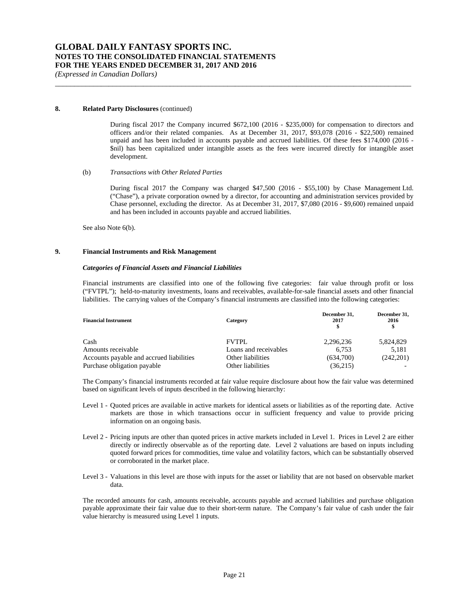#### **8. Related Party Disclosures** (continued)

 During fiscal 2017 the Company incurred \$672,100 (2016 - \$235,000) for compensation to directors and officers and/or their related companies. As at December 31, 2017, \$93,078 (2016 - \$22,500) remained unpaid and has been included in accounts payable and accrued liabilities. Of these fees \$174,000 (2016 - \$nil) has been capitalized under intangible assets as the fees were incurred directly for intangible asset development.

 $\overline{a}$  , and the contribution of the contribution of the contribution of the contribution of the contribution of  $\overline{a}$ 

#### (b) *Transactions with Other Related Parties*

During fiscal 2017 the Company was charged \$47,500 (2016 - \$55,100) by Chase Management Ltd. ("Chase"), a private corporation owned by a director, for accounting and administration services provided by Chase personnel, excluding the director. As at December 31, 2017, \$7,080 (2016 - \$9,600) remained unpaid and has been included in accounts payable and accrued liabilities.

See also Note 6(b).

#### **9. Financial Instruments and Risk Management**

#### *Categories of Financial Assets and Financial Liabilities*

Financial instruments are classified into one of the following five categories: fair value through profit or loss ("FVTPL"); held-to-maturity investments, loans and receivables, available-for-sale financial assets and other financial liabilities. The carrying values of the Company's financial instruments are classified into the following categories:

| <b>Financial Instrument</b>              | Category              | December 31.<br>2017 | December 31,<br>2016 |
|------------------------------------------|-----------------------|----------------------|----------------------|
| Cash                                     | <b>FVTPL</b>          | 2,296,236            | 5,824,829            |
| Amounts receivable                       | Loans and receivables | 6.753                | 5.181                |
| Accounts payable and accrued liabilities | Other liabilities     | (634,700)            | (242,201)            |
| Purchase obligation payable              | Other liabilities     | (36,215)             |                      |

The Company's financial instruments recorded at fair value require disclosure about how the fair value was determined based on significant levels of inputs described in the following hierarchy:

- Level 1 Quoted prices are available in active markets for identical assets or liabilities as of the reporting date. Active markets are those in which transactions occur in sufficient frequency and value to provide pricing information on an ongoing basis.
- Level 2 Pricing inputs are other than quoted prices in active markets included in Level 1. Prices in Level 2 are either directly or indirectly observable as of the reporting date. Level 2 valuations are based on inputs including quoted forward prices for commodities, time value and volatility factors, which can be substantially observed or corroborated in the market place.
- Level 3 Valuations in this level are those with inputs for the asset or liability that are not based on observable market data.

The recorded amounts for cash, amounts receivable, accounts payable and accrued liabilities and purchase obligation payable approximate their fair value due to their short-term nature. The Company's fair value of cash under the fair value hierarchy is measured using Level 1 inputs.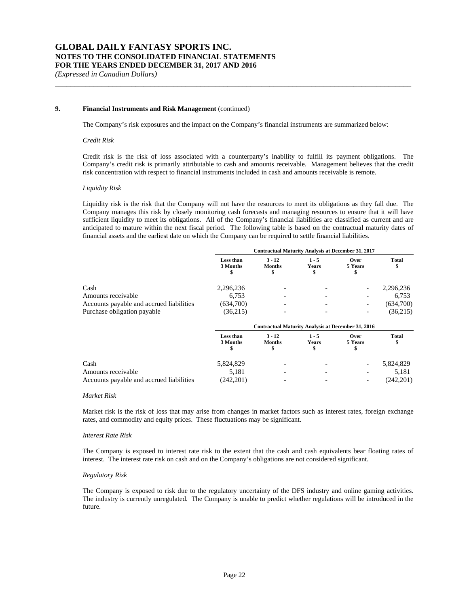#### **9. Financial Instruments and Risk Management** (continued)

The Company's risk exposures and the impact on the Company's financial instruments are summarized below:

 $\overline{a}$  , and the contribution of the contribution of the contribution of the contribution of the contribution of  $\overline{a}$ 

#### *Credit Risk*

Credit risk is the risk of loss associated with a counterparty's inability to fulfill its payment obligations. The Company's credit risk is primarily attributable to cash and amounts receivable. Management believes that the credit risk concentration with respect to financial instruments included in cash and amounts receivable is remote.

#### *Liquidity Risk*

Liquidity risk is the risk that the Company will not have the resources to meet its obligations as they fall due. The Company manages this risk by closely monitoring cash forecasts and managing resources to ensure that it will have sufficient liquidity to meet its obligations. All of the Company's financial liabilities are classified as current and are anticipated to mature within the next fiscal period. The following table is based on the contractual maturity dates of financial assets and the earliest date on which the Company can be required to settle financial liabilities.

|                                          |                             | <b>Contractual Maturity Analysis at December 31, 2017</b> |                               |                       |              |
|------------------------------------------|-----------------------------|-----------------------------------------------------------|-------------------------------|-----------------------|--------------|
|                                          | Less than<br>3 Months<br>\$ | $3 - 12$<br><b>Months</b><br>\$                           | $1 - 5$<br><b>Years</b><br>\$ | Over<br>5 Years<br>\$ | Total<br>\$  |
| Cash                                     | 2,296,236                   |                                                           |                               | -                     | 2,296,236    |
| Amounts receivable                       | 6.753                       |                                                           |                               |                       | 6,753        |
| Accounts payable and accrued liabilities | (634,700)                   |                                                           |                               | -                     | (634,700)    |
| Purchase obligation payable              | (36,215)                    |                                                           | $\overline{\phantom{0}}$      | -                     | (36,215)     |
|                                          |                             | <b>Contractual Maturity Analysis at December 31, 2016</b> |                               |                       |              |
|                                          | <b>Less than</b>            | $3 - 12$                                                  | $1 - 5$                       | Over                  | <b>Total</b> |

|                                          | 3 Months  | <b>Months</b>            | Years | 5 Years                  |            |
|------------------------------------------|-----------|--------------------------|-------|--------------------------|------------|
| Cash                                     | 5,824,829 | $\overline{\phantom{0}}$ |       | $\overline{\phantom{a}}$ | 5,824,829  |
| Amounts receivable                       | 5.181     |                          |       | $\overline{\phantom{a}}$ | 5.181      |
| Accounts payable and accrued liabilities | 242,201   |                          |       | $\overline{\phantom{0}}$ | (242, 201) |

#### *Market Risk*

Market risk is the risk of loss that may arise from changes in market factors such as interest rates, foreign exchange rates, and commodity and equity prices. These fluctuations may be significant.

#### *Interest Rate Risk*

The Company is exposed to interest rate risk to the extent that the cash and cash equivalents bear floating rates of interest. The interest rate risk on cash and on the Company's obligations are not considered significant.

#### *Regulatory Risk*

The Company is exposed to risk due to the regulatory uncertainty of the DFS industry and online gaming activities. The industry is currently unregulated. The Company is unable to predict whether regulations will be introduced in the future.